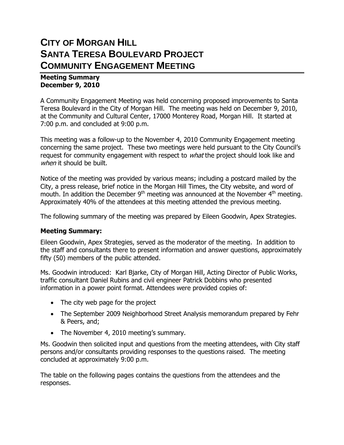# **CITY OF MORGAN HILL SANTA TERESA BOULEVARD PROJECT COMMUNITY ENGAGEMENT MEETING**

#### **Meeting Summary December 9, 2010**

A Community Engagement Meeting was held concerning proposed improvements to Santa Teresa Boulevard in the City of Morgan Hill. The meeting was held on December 9, 2010, at the Community and Cultural Center, 17000 Monterey Road, Morgan Hill. It started at 7:00 p.m. and concluded at 9:00 p.m.

This meeting was a follow-up to the November 4, 2010 Community Engagement meeting concerning the same project. These two meetings were held pursuant to the City Council's request for community engagement with respect to *what* the project should look like and when it should be built.

Notice of the meeting was provided by various means; including a postcard mailed by the City, a press release, brief notice in the Morgan Hill Times, the City website, and word of mouth. In addition the December 9<sup>th</sup> meeting was announced at the November 4<sup>th</sup> meeting. Approximately 40% of the attendees at this meeting attended the previous meeting.

The following summary of the meeting was prepared by Eileen Goodwin, Apex Strategies.

### **Meeting Summary:**

Eileen Goodwin, Apex Strategies, served as the moderator of the meeting. In addition to the staff and consultants there to present information and answer questions, approximately fifty (50) members of the public attended.

Ms. Goodwin introduced: Karl Bjarke, City of Morgan Hill, Acting Director of Public Works, traffic consultant Daniel Rubins and civil engineer Patrick Dobbins who presented information in a power point format. Attendees were provided copies of:

- The city web page for the project
- The September 2009 Neighborhood Street Analysis memorandum prepared by Fehr & Peers, and;
- The November 4, 2010 meeting's summary.

Ms. Goodwin then solicited input and questions from the meeting attendees, with City staff persons and/or consultants providing responses to the questions raised. The meeting concluded at approximately 9:00 p.m.

The table on the following pages contains the questions from the attendees and the responses.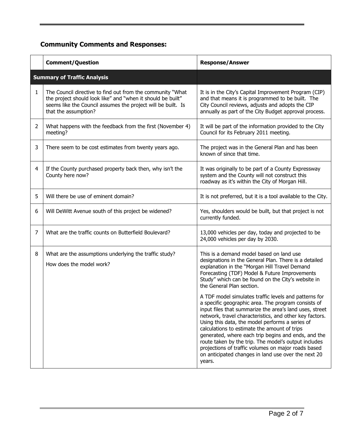# **Community Comments and Responses:**

|                | <b>Comment/Question</b>                                                                                                                                                                                           | <b>Response/Answer</b>                                                                                                                                                                                                                                                                                                                                                                                                                                                                                                                                                       |
|----------------|-------------------------------------------------------------------------------------------------------------------------------------------------------------------------------------------------------------------|------------------------------------------------------------------------------------------------------------------------------------------------------------------------------------------------------------------------------------------------------------------------------------------------------------------------------------------------------------------------------------------------------------------------------------------------------------------------------------------------------------------------------------------------------------------------------|
|                | <b>Summary of Traffic Analysis</b>                                                                                                                                                                                |                                                                                                                                                                                                                                                                                                                                                                                                                                                                                                                                                                              |
| $\mathbf{1}$   | The Council directive to find out from the community "What<br>the project should look like" and "when it should be built"<br>seems like the Council assumes the project will be built. Is<br>that the assumption? | It is in the City's Capital Improvement Program (CIP)<br>and that means it is programmed to be built. The<br>City Council reviews, adjusts and adopts the CIP<br>annually as part of the City Budget approval process.                                                                                                                                                                                                                                                                                                                                                       |
| $\overline{2}$ | What happens with the feedback from the first (November 4)<br>meeting?                                                                                                                                            | It will be part of the information provided to the City<br>Council for its February 2011 meeting.                                                                                                                                                                                                                                                                                                                                                                                                                                                                            |
| 3              | There seem to be cost estimates from twenty years ago.                                                                                                                                                            | The project was in the General Plan and has been<br>known of since that time.                                                                                                                                                                                                                                                                                                                                                                                                                                                                                                |
| 4              | If the County purchased property back then, why isn't the<br>County here now?                                                                                                                                     | It was originally to be part of a County Expressway<br>system and the County will not construct this<br>roadway as it's within the City of Morgan Hill.                                                                                                                                                                                                                                                                                                                                                                                                                      |
| 5              | Will there be use of eminent domain?                                                                                                                                                                              | It is not preferred, but it is a tool available to the City.                                                                                                                                                                                                                                                                                                                                                                                                                                                                                                                 |
| 6              | Will DeWitt Avenue south of this project be widened?                                                                                                                                                              | Yes, shoulders would be built, but that project is not<br>currently funded.                                                                                                                                                                                                                                                                                                                                                                                                                                                                                                  |
| 7              | What are the traffic counts on Butterfield Boulevard?                                                                                                                                                             | 13,000 vehicles per day, today and projected to be<br>24,000 vehicles per day by 2030.                                                                                                                                                                                                                                                                                                                                                                                                                                                                                       |
| 8              | What are the assumptions underlying the traffic study?<br>How does the model work?                                                                                                                                | This is a demand model based on land use<br>designations in the General Plan. There is a detailed<br>explanation in the "Morgan Hill Travel Demand<br>Forecasting (TDF) Model & Future Improvements<br>Study" which can be found on the City's website in<br>the General Plan section.                                                                                                                                                                                                                                                                                       |
|                |                                                                                                                                                                                                                   | A TDF model simulates traffic levels and patterns for<br>a specific geographic area. The program consists of<br>input files that summarize the area's land uses, street<br>network, travel characteristics, and other key factors.<br>Using this data, the model performs a series of<br>calculations to estimate the amount of trips<br>generated, where each trip begins and ends, and the<br>route taken by the trip. The model's output includes<br>projections of traffic volumes on major roads based<br>on anticipated changes in land use over the next 20<br>years. |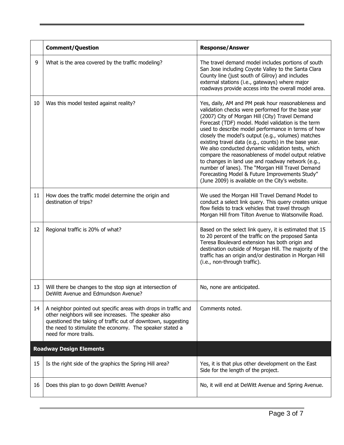|    | <b>Comment/Question</b>                                                                                                                                                                                                                                                     | <b>Response/Answer</b>                                                                                                                                                                                                                                                                                                                                                                                                                                                                                                                                                                                                                                                                                           |
|----|-----------------------------------------------------------------------------------------------------------------------------------------------------------------------------------------------------------------------------------------------------------------------------|------------------------------------------------------------------------------------------------------------------------------------------------------------------------------------------------------------------------------------------------------------------------------------------------------------------------------------------------------------------------------------------------------------------------------------------------------------------------------------------------------------------------------------------------------------------------------------------------------------------------------------------------------------------------------------------------------------------|
| 9  | What is the area covered by the traffic modeling?                                                                                                                                                                                                                           | The travel demand model includes portions of south<br>San Jose including Coyote Valley to the Santa Clara<br>County line (just south of Gilroy) and includes<br>external stations (i.e., gateways) where major<br>roadways provide access into the overall model area.                                                                                                                                                                                                                                                                                                                                                                                                                                           |
| 10 | Was this model tested against reality?                                                                                                                                                                                                                                      | Yes, daily, AM and PM peak hour reasonableness and<br>validation checks were performed for the base year<br>(2007) City of Morgan Hill (City) Travel Demand<br>Forecast (TDF) model. Model validation is the term<br>used to describe model performance in terms of how<br>closely the model's output (e.g., volumes) matches<br>existing travel data (e.g., counts) in the base year.<br>We also conducted dynamic validation tests, which<br>compare the reasonableness of model output relative<br>to changes in land use and roadway network (e.g.,<br>number of lanes). The "Morgan Hill Travel Demand<br>Forecasting Model & Future Improvements Study"<br>(June 2009) is available on the City's website. |
| 11 | How does the traffic model determine the origin and<br>destination of trips?                                                                                                                                                                                                | We used the Morgan Hill Travel Demand Model to<br>conduct a select link query. This query creates unique<br>flow fields to track vehicles that travel through<br>Morgan Hill from Tilton Avenue to Watsonville Road.                                                                                                                                                                                                                                                                                                                                                                                                                                                                                             |
| 12 | Regional traffic is 20% of what?                                                                                                                                                                                                                                            | Based on the select link query, it is estimated that 15<br>to 20 percent of the traffic on the proposed Santa<br>Teresa Boulevard extension has both origin and<br>destination outside of Morgan Hill. The majority of the<br>traffic has an origin and/or destination in Morgan Hill<br>(i.e., non-through traffic).                                                                                                                                                                                                                                                                                                                                                                                            |
| 13 | Will there be changes to the stop sign at intersection of<br>DeWitt Avenue and Edmundson Avenue?                                                                                                                                                                            | No, none are anticipated.                                                                                                                                                                                                                                                                                                                                                                                                                                                                                                                                                                                                                                                                                        |
| 14 | A neighbor pointed out specific areas with drops in traffic and<br>other neighbors will see increases. The speaker also<br>questioned the taking of traffic out of downtown, suggesting<br>the need to stimulate the economy. The speaker stated a<br>need for more trails. | Comments noted.                                                                                                                                                                                                                                                                                                                                                                                                                                                                                                                                                                                                                                                                                                  |
|    | <b>Roadway Design Elements</b>                                                                                                                                                                                                                                              |                                                                                                                                                                                                                                                                                                                                                                                                                                                                                                                                                                                                                                                                                                                  |
| 15 | Is the right side of the graphics the Spring Hill area?                                                                                                                                                                                                                     | Yes, it is that plus other development on the East<br>Side for the length of the project.                                                                                                                                                                                                                                                                                                                                                                                                                                                                                                                                                                                                                        |
| 16 | Does this plan to go down DeWitt Avenue?                                                                                                                                                                                                                                    | No, it will end at DeWitt Avenue and Spring Avenue.                                                                                                                                                                                                                                                                                                                                                                                                                                                                                                                                                                                                                                                              |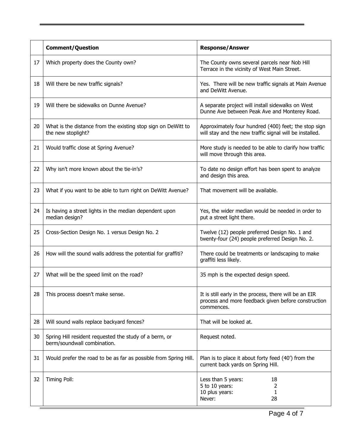|    | <b>Comment/Question</b>                                                               | <b>Response/Answer</b>                                                                                                      |
|----|---------------------------------------------------------------------------------------|-----------------------------------------------------------------------------------------------------------------------------|
| 17 | Which property does the County own?                                                   | The County owns several parcels near Nob Hill<br>Terrace in the vicinity of West Main Street.                               |
| 18 | Will there be new traffic signals?                                                    | Yes. There will be new traffic signals at Main Avenue<br>and DeWitt Avenue.                                                 |
| 19 | Will there be sidewalks on Dunne Avenue?                                              | A separate project will install sidewalks on West<br>Dunne Ave between Peak Ave and Monterey Road.                          |
| 20 | What is the distance from the existing stop sign on DeWitt to<br>the new stoplight?   | Approximately four hundred (400) feet; the stop sign<br>will stay and the new traffic signal will be installed.             |
| 21 | Would traffic close at Spring Avenue?                                                 | More study is needed to be able to clarify how traffic<br>will move through this area.                                      |
| 22 | Why isn't more known about the tie-in's?                                              | To date no design effort has been spent to analyze<br>and design this area.                                                 |
| 23 | What if you want to be able to turn right on DeWitt Avenue?                           | That movement will be available.                                                                                            |
| 24 | Is having a street lights in the median dependent upon<br>median design?              | Yes, the wider median would be needed in order to<br>put a street light there.                                              |
| 25 | Cross-Section Design No. 1 versus Design No. 2                                        | Twelve (12) people preferred Design No. 1 and<br>twenty-four (24) people preferred Design No. 2.                            |
| 26 | How will the sound walls address the potential for graffiti?                          | There could be treatments or landscaping to make<br>graffiti less likely.                                                   |
| 27 | What will be the speed limit on the road?                                             | 35 mph is the expected design speed.                                                                                        |
| 28 | This process doesn't make sense.                                                      | It is still early in the process, there will be an EIR<br>process and more feedback given before construction<br>commences. |
| 28 | Will sound walls replace backyard fences?                                             | That will be looked at.                                                                                                     |
| 30 | Spring Hill resident requested the study of a berm, or<br>berm/soundwall combination. | Request noted.                                                                                                              |
| 31 | Would prefer the road to be as far as possible from Spring Hill.                      | Plan is to place it about forty feed (40') from the<br>current back yards on Spring Hill.                                   |
| 32 | Timing Poll:                                                                          | Less than 5 years:<br>18<br>5 to 10 years:<br>2<br>1<br>10 plus years:<br>28<br>Never:                                      |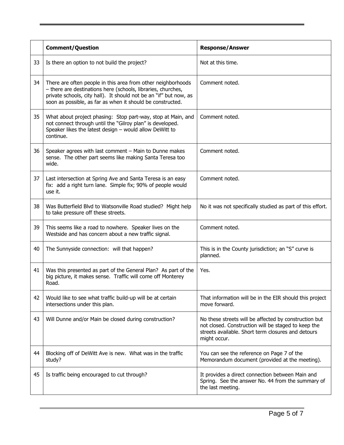|    | <b>Comment/Question</b>                                                                                                                                                                                                                                         | <b>Response/Answer</b>                                                                                                                                                             |
|----|-----------------------------------------------------------------------------------------------------------------------------------------------------------------------------------------------------------------------------------------------------------------|------------------------------------------------------------------------------------------------------------------------------------------------------------------------------------|
| 33 | Is there an option to not build the project?                                                                                                                                                                                                                    | Not at this time.                                                                                                                                                                  |
| 34 | There are often people in this area from other neighborhoods<br>- there are destinations here (schools, libraries, churches,<br>private schools, city hall). It should not be an "if" but now, as<br>soon as possible, as far as when it should be constructed. | Comment noted.                                                                                                                                                                     |
| 35 | What about project phasing: Stop part-way, stop at Main, and<br>not connect through until the "Gilroy plan" is developed.<br>Speaker likes the latest design - would allow DeWitt to<br>continue.                                                               | Comment noted.                                                                                                                                                                     |
| 36 | Speaker agrees with last comment - Main to Dunne makes<br>sense. The other part seems like making Santa Teresa too<br>wide.                                                                                                                                     | Comment noted.                                                                                                                                                                     |
| 37 | Last intersection at Spring Ave and Santa Teresa is an easy<br>fix: add a right turn lane. Simple fix; 90% of people would<br>use it.                                                                                                                           | Comment noted.                                                                                                                                                                     |
| 38 | Was Butterfield Blvd to Watsonville Road studied? Might help<br>to take pressure off these streets.                                                                                                                                                             | No it was not specifically studied as part of this effort.                                                                                                                         |
| 39 | This seems like a road to nowhere. Speaker lives on the<br>Westside and has concern about a new traffic signal.                                                                                                                                                 | Comment noted.                                                                                                                                                                     |
| 40 | The Sunnyside connection: will that happen?                                                                                                                                                                                                                     | This is in the County jurisdiction; an "S" curve is<br>planned.                                                                                                                    |
| 41 | Was this presented as part of the General Plan? As part of the<br>big picture, it makes sense. Traffic will come off Monterey<br>Road.                                                                                                                          | Yes.                                                                                                                                                                               |
| 42 | Would like to see what traffic build-up will be at certain<br>intersections under this plan.                                                                                                                                                                    | That information will be in the EIR should this project<br>move forward.                                                                                                           |
| 43 | Will Dunne and/or Main be closed during construction?                                                                                                                                                                                                           | No these streets will be affected by construction but<br>not closed. Construction will be staged to keep the<br>streets available. Short term closures and detours<br>might occur. |
| 44 | Blocking off of DeWitt Ave is new. What was in the traffic<br>study?                                                                                                                                                                                            | You can see the reference on Page 7 of the<br>Memorandum document (provided at the meeting).                                                                                       |
| 45 | Is traffic being encouraged to cut through?                                                                                                                                                                                                                     | It provides a direct connection between Main and<br>Spring. See the answer No. 44 from the summary of<br>the last meeting.                                                         |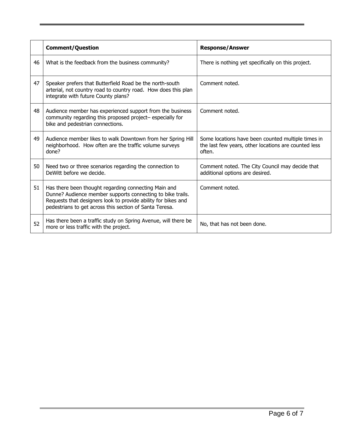|    | <b>Comment/Question</b>                                                                                                                                                                                                                        | <b>Response/Answer</b>                                                                                               |
|----|------------------------------------------------------------------------------------------------------------------------------------------------------------------------------------------------------------------------------------------------|----------------------------------------------------------------------------------------------------------------------|
| 46 | What is the feedback from the business community?                                                                                                                                                                                              | There is nothing yet specifically on this project.                                                                   |
| 47 | Speaker prefers that Butterfield Road be the north-south<br>arterial, not country road to country road. How does this plan<br>integrate with future County plans?                                                                              | Comment noted.                                                                                                       |
| 48 | Audience member has experienced support from the business<br>community regarding this proposed project- especially for<br>bike and pedestrian connections.                                                                                     | Comment noted.                                                                                                       |
| 49 | Audience member likes to walk Downtown from her Spring Hill<br>neighborhood. How often are the traffic volume surveys<br>done?                                                                                                                 | Some locations have been counted multiple times in<br>the last few years, other locations are counted less<br>often. |
| 50 | Need two or three scenarios regarding the connection to<br>DeWitt before we decide.                                                                                                                                                            | Comment noted. The City Council may decide that<br>additional options are desired.                                   |
| 51 | Has there been thought regarding connecting Main and<br>Dunne? Audience member supports connecting to bike trails.<br>Requests that designers look to provide ability for bikes and<br>pedestrians to get across this section of Santa Teresa. | Comment noted.                                                                                                       |
| 52 | Has there been a traffic study on Spring Avenue, will there be<br>more or less traffic with the project.                                                                                                                                       | No, that has not been done.                                                                                          |